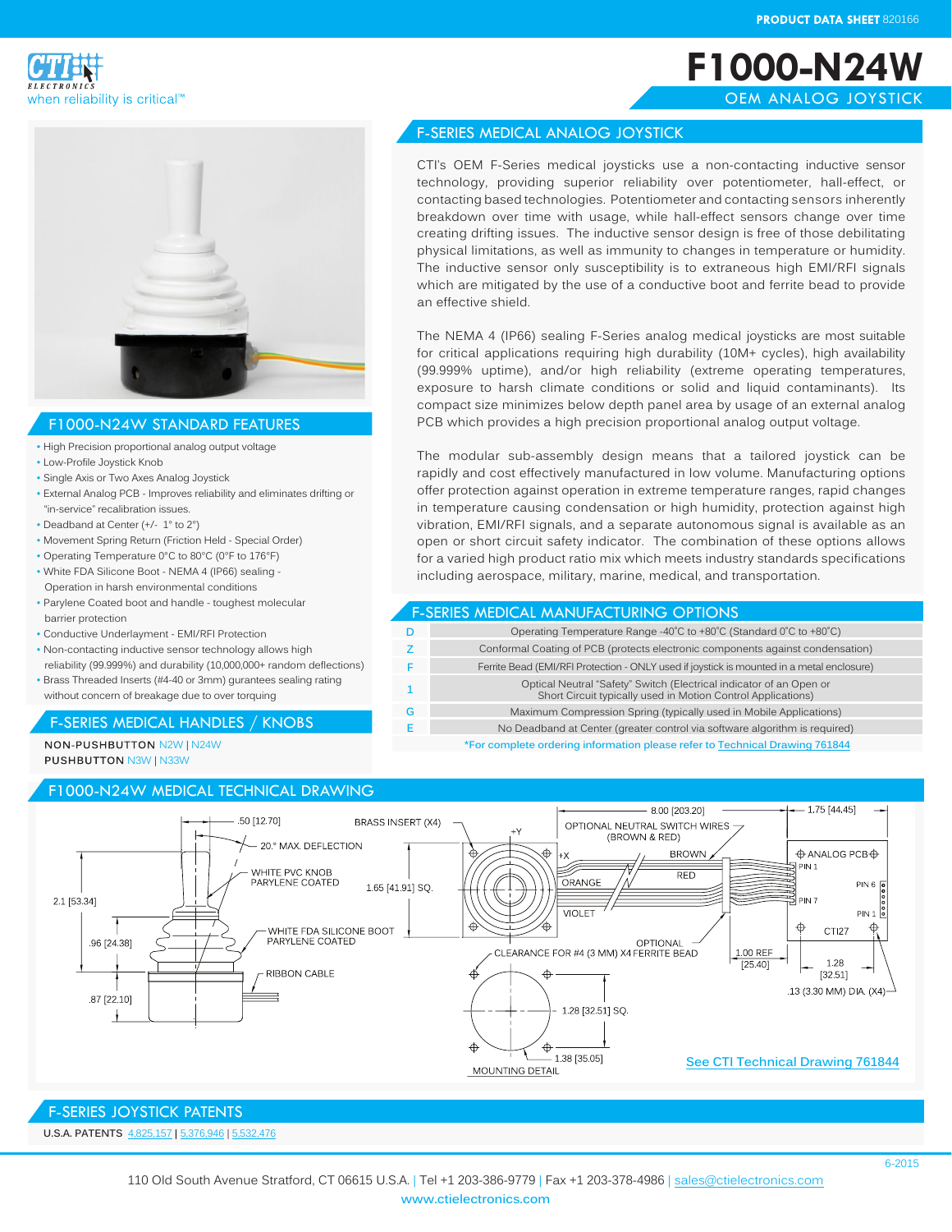



#### F1000-N24W STANDARD FEATURES

- High Precision proportional analog output voltage
- Low-Profile Joystick Knob
- Single Axis or Two Axes Analog Joystick
- External Analog PCB Improves reliability and eliminates drifting or "in-service" recalibration issues.
- Deadband at Center (+/- 1° to 2°)
- Movement Spring Return (Friction Held Special Order)
- Operating Temperature 0°C to 80°C (0°F to 176°F)
- White FDA Silicone Boot NEMA 4 (IP66) sealing Operation in harsh environmental conditions
- Parylene Coated boot and handle toughest molecular barrier protection
- Conductive Underlayment EMI/RFI Protection
- Non-contacting inductive sensor technology allows high reliability (99.999%) and durability (10,000,000+ random deflections)
- Brass Threaded Inserts (#4-40 or 3mm) gurantees sealing rating without concern of breakage due to over torquing

#### F-SERIES MEDICAL HANDLES / KNOBS

NON-PUSHBUTTON N2W | N24W **PUSHBUTTON N3W | N33W** 

#### F1000-N24W MEDICAL TECHNICAL DRAWING  $-8.00$  [203.20]  $-1.75$  [44.45] 50 [12.70] **BRASS INSERT (X4)** OPTIONAL NEUTRAL SWITCH WIRES (BROWN & RED) - 20° MAX DEFLECTION  $\oplus$  ANALOG PCB $\oplus$ **BROWN**  $+X$  $\overline{\mathsf{M}}$  PIN 1 WHITE PVC KNOB RED PARYLENE COATED ORANGE 1.65 [41.91] SQ  $PIN 6 2$ 21 [53.34] วี คพ 7  $PIN 1 8$ VIOLET WHITE FDA SILICONE BOOT<br>PARYLENE COATED क़ Ф  $\color{black}\boldsymbol{\bigoplus}$ CTI27 96 [24 38] OPTIONAL CLEARANCE FOR #4 (3 MM) X4 FERRITE BEAD 1.00 REF 1.28  $[25.40]$ **RIBBON CABLE** ѩ [32.51] ₳ 13 (3.30 MM) DIA. (X4)-87 [22.10] 1.28 [32.51] SQ.  $\oplus$ 1.38 [35.05]

MOUNTING DETAIL

### F-SERIES JOYSTICK PATENTS

**[See CTI Technical Drawing 761844](http://www.ctielectronics.com/pdf/761844-F1000-N24W-Medical-Joystick.pdf)**

# **F1000-N24W** OEM ANALOG JOYSTICK

#### F-SERIES MEDICAL ANALOG JOYSTICK

CTI's OEM F-Series medical joysticks use a non-contacting inductive sensor technology, providing superior reliability over potentiometer, hall-effect, or contacting based technologies. Potentiometer and contacting sensors inherently breakdown over time with usage, while hall-effect sensors change over time creating drifting issues. The inductive sensor design is free of those debilitating physical limitations, as well as immunity to changes in temperature or humidity. The inductive sensor only susceptibility is to extraneous high EMI/RFI signals which are mitigated by the use of a conductive boot and ferrite bead to provide an effective shield.

The NEMA 4 (IP66) sealing F-Series analog medical joysticks are most suitable for critical applications requiring high durability (10M+ cycles), high availability (99.999% uptime), and/or high reliability (extreme operating temperatures, exposure to harsh climate conditions or solid and liquid contaminants). Its compact size minimizes below depth panel area by usage of an external analog PCB which provides a high precision proportional analog output voltage.

The modular sub-assembly design means that a tailored joystick can be rapidly and cost effectively manufactured in low volume. Manufacturing options offer protection against operation in extreme temperature ranges, rapid changes in temperature causing condensation or high humidity, protection against high vibration, EMI/RFI signals, and a separate autonomous signal is available as an open or short circuit safety indicator. The combination of these options allows for a varied high product ratio mix which meets industry standards specifications including aerospace, military, marine, medical, and transportation.

#### F-SERIES MEDICAL MANUFACTURING OPTIONS

| D  | Operating Temperature Range -40°C to +80°C (Standard 0°C to +80°C)                                                                  |
|----|-------------------------------------------------------------------------------------------------------------------------------------|
| z  | Conformal Coating of PCB (protects electronic components against condensation)                                                      |
| F  | Ferrite Bead (EMI/RFI Protection - ONLY used if joystick is mounted in a metal enclosure)                                           |
| -1 | Optical Neutral "Safety" Switch (Electrical indicator of an Open or<br>Short Circuit typically used in Motion Control Applications) |
| G  | Maximum Compression Spring (typically used in Mobile Applications)                                                                  |
|    | No Deadband at Center (greater control via software algorithm is required)                                                          |
|    | *For complete erdering information please refer to Technical Drawing 761944                                                         |

**\*For complete ordering information please refer to [Technical Drawing 7618](http://www.ctielectronics.com/pdf/761844-F1000-N24W-Medical-Joystick.pdf)44**

**U.S.A. PATENTS** [4,825,1](http://www.ctielectronics.com/pdf/4731530-Joystick-control-having-optical.pdf)57 **|** 5[,376,](http://www.ctielectronics.com/pdf/5376946-Computer-mouse-simulator-device.pdf)946 | [5,532,4](http://www.ctielectronics.com/pdf/5532476-Redundant-indicator-for-detecting-neutral-joystick-position.pdf)76